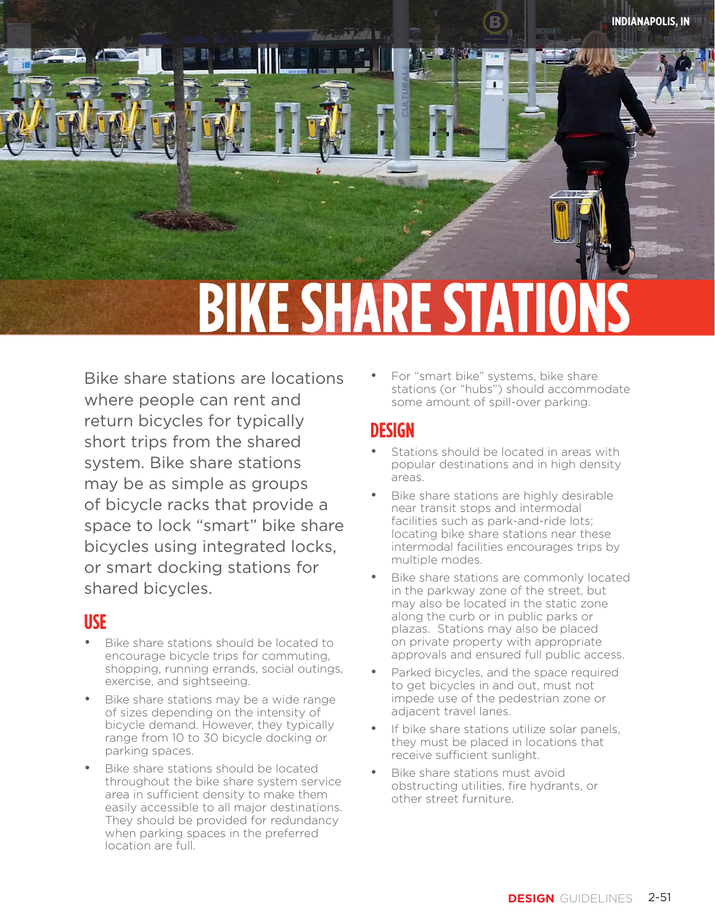**PEDESTRIAN ZONE ZONE** 

# **BIKE SHARE STATION**

Bike share stations are locations where people can rent and return bicycles for typically short trips from the shared system. Bike share stations may be as simple as groups of bicycle racks that provide a space to lock "smart" bike share bicycles using integrated locks, or smart docking stations for shared bicycles.

#### **USE**

- Bike share stations should be located to encourage bicycle trips for commuting, shopping, running errands, social outings, exercise, and sightseeing.
- Bike share stations may be a wide range of sizes depending on the intensity of bicycle demand. However, they typically range from 10 to 30 bicycle docking or parking spaces.
- Bike share stations should be located throughout the bike share system service area in sufficient density to make them easily accessible to all major destinations. They should be provided for redundancy when parking spaces in the preferred location are full.

• For "smart bike" systems, bike share stations (or "hubs") should accommodate some amount of spill-over parking.

#### **DESIGN**

- Stations should be located in areas with popular destinations and in high density areas.
- Bike share stations are highly desirable near transit stops and intermodal facilities such as park-and-ride lots; locating bike share stations near these intermodal facilities encourages trips by multiple modes.
- Bike share stations are commonly located in the parkway zone of the street, but may also be located in the static zone along the curb or in public parks or plazas. Stations may also be placed on private property with appropriate approvals and ensured full public access.
- Parked bicycles, and the space required to get bicycles in and out, must not impede use of the pedestrian zone or adjacent travel lanes.
- If bike share stations utilize solar panels, they must be placed in locations that receive sufficient sunlight.
- Bike share stations must avoid obstructing utilities, fire hydrants, or other street furniture.